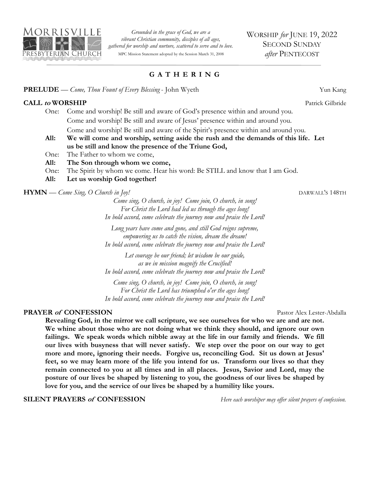

*Grounded in the grace of God, we are a vibrant Christian community, disciples of all ages, gathered for worship and nurture, scattered to serve and to love.*  MPC Mission Statement adopted by the Session March 31, 2008

## **G A T H E R I N G**

#### **PRELUDE** — *Come, Thou Fount of Every Blessing* - John Wyeth Yun Kang

#### **CALL to WORSHIP** Patrick Gilbride

One: Come and worship! Be still and aware of God's presence within and around you. Come and worship! Be still and aware of Jesus' presence within and around you. Come and worship! Be still and aware of the Spirit's presence within and around you.

- **All: We will come and worship, setting aside the rush and the demands of this life. Let us be still and know the presence of the Triune God,**
- One: The Father to whom we come,
- **All: The Son through whom we come,**
- One: The Spirit by whom we come. Hear his word: Be STILL and know that I am God.
- **All: Let us worship God together!**

#### **HYMN** — *Come Sing, O Church in Joy!* DARWALL'S 148TH

*Come sing, O church, in joy! Come join, O church, in song! For Christ the Lord had led us through the ages long! In bold accord, come celebrate the journey now and praise the Lord!*

*Long years have come and gone, and still God reigns supreme, empowering us to catch the vision, dream the dream! In bold accord, come celebrate the journey now and praise the Lord!*

*Let courage be our friend; let wisdom be our guide, as we in mission magnify the Crucified! In bold accord, come celebrate the journey now and praise the Lord!*

*Come sing, O church, in joy! Come join, O church, in song! For Christ the Lord has triumphed o'er the ages long! In bold accord, come celebrate the journey now and praise the Lord!*

#### **PRAYER of CONFESSION** Pastor Alex Lester-Abdalla

**Revealing God, in the mirror we call scripture, we see ourselves for who we are and are not. We whine about those who are not doing what we think they should, and ignore our own failings. We speak words which nibble away at the life in our family and friends. We fill our lives with busyness that will never satisfy. We step over the poor on our way to get more and more, ignoring their needs. Forgive us, reconciling God. Sit us down at Jesus' feet, so we may learn more of the life you intend for us. Transform our lives so that they remain connected to you at all times and in all places. Jesus, Savior and Lord, may the posture of our lives be shaped by listening to you, the goodness of our lives be shaped by love for you, and the service of our lives be shaped by a humility like yours.** 

#### **SILENT PRAYERS of CONFESSION** *Here each worshiper may offer silent prayers of confession.*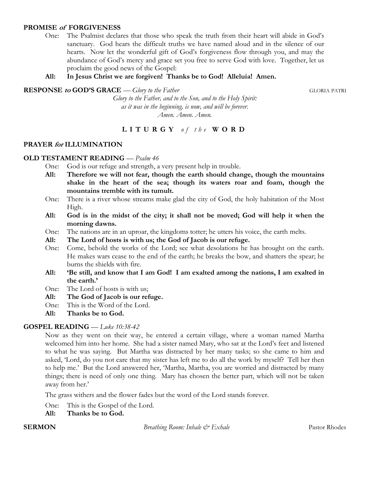#### **PROMISE of FORGIVENESS**

One: The Psalmist declares that those who speak the truth from their heart will abide in God's sanctuary. God hears the difficult truths we have named aloud and in the silence of our hearts. Now let the wonderful gift of God's forgiveness flow through you, and may the abundance of God's mercy and grace set you free to serve God with love. Together, let us proclaim the good news of the Gospel:

## **All: In Jesus Christ we are forgiven! Thanks be to God! Alleluia! Amen.**

**RESPONSE to GOD'S GRACE** — *Glory to the Father* GLORIA PATRI

*Glory to the Father, and to the Son, and to the Holy Spirit: as it was in the beginning, is now, and will be forever. Amen. Amen. Amen.*

# **L I T U R G Y** *o f t h e* **W O R D**

## **PRAYER for ILLUMINATION**

## **OLD TESTAMENT READING** — *Psalm 46*

One: God is our refuge and strength, a very present help in trouble.

- **All: Therefore we will not fear, though the earth should change, though the mountains shake in the heart of the sea; though its waters roar and foam, though the mountains tremble with its tumult.**
- One: There is a river whose streams make glad the city of God, the holy habitation of the Most High.
- **All: God is in the midst of the city; it shall not be moved; God will help it when the morning dawns.**
- One: The nations are in an uproar, the kingdoms totter; he utters his voice, the earth melts.
- **All: The Lord of hosts is with us; the God of Jacob is our refuge.**
- One: Come, behold the works of the Lord; see what desolations he has brought on the earth. He makes wars cease to the end of the earth; he breaks the bow, and shatters the spear; he burns the shields with fire.
- **All: 'Be still, and know that I am God! I am exalted among the nations, I am exalted in the earth.'**
- One: The Lord of hosts is with us;
- **All: The God of Jacob is our refuge.**
- One: This is the Word of the Lord.
- **All: Thanks be to God.**

## **GOSPEL READING** — *Luke 10:38-42*

Now as they went on their way, he entered a certain village, where a woman named Martha welcomed him into her home. She had a sister named Mary, who sat at the Lord's feet and listened to what he was saying. But Martha was distracted by her many tasks; so she came to him and asked, 'Lord, do you not care that my sister has left me to do all the work by myself? Tell her then to help me.' But the Lord answered her, 'Martha, Martha, you are worried and distracted by many things; there is need of only one thing. Mary has chosen the better part, which will not be taken away from her.'

The grass withers and the flower fades but the word of the Lord stands forever.

One: This is the Gospel of the Lord.

**All: Thanks be to God.**

**SERMON** *Breathing Room: Inhale*  $\mathcal{Q}^*$  *Exhale* Pastor Rhodes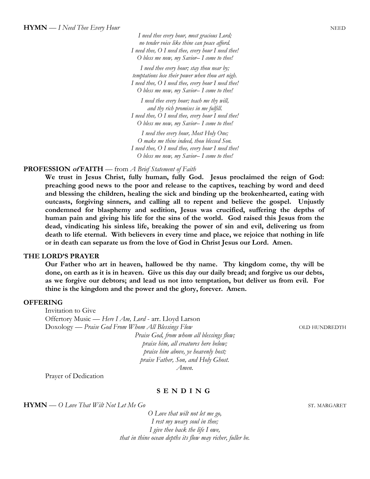*I need thee every hour, most gracious Lord; no tender voice like thine can peace afford. I need thee, O I need thee, every hour I need thee! O bless me now, my Savior– I come to thee!*

*I need thee every hour; stay thou near by; temptations lose their power when thou art nigh. I need thee, O I need thee, every hour I need thee! O bless me now, my Savior– I come to thee!*

*I need thee every hour; teach me thy will, and thy rich promises in me fulfill. I need thee, O I need thee, every hour I need thee! O bless me now, my Savior– I come to thee!*

*I need thee every hour, Most Holy One; O make me thine indeed, thou blessed Son. I need thee, O I need thee, every hour I need thee! O bless me now, my Savior– I come to thee!*

#### **PROFESSION of FAITH** — from *A Brief Statement of Faith*

**We trust in Jesus Christ, fully human, fully God. Jesus proclaimed the reign of God: preaching good news to the poor and release to the captives, teaching by word and deed and blessing the children, healing the sick and binding up the brokenhearted, eating with outcasts, forgiving sinners, and calling all to repent and believe the gospel. Unjustly condemned for blasphemy and sedition, Jesus was crucified, suffering the depths of human pain and giving his life for the sins of the world. God raised this Jesus from the dead, vindicating his sinless life, breaking the power of sin and evil, delivering us from death to life eternal. With believers in every time and place, we rejoice that nothing in life or in death can separate us from the love of God in Christ Jesus our Lord. Amen.**

#### **THE LORD'S PRAYER**

**Our Father who art in heaven, hallowed be thy name. Thy kingdom come, thy will be done, on earth as it is in heaven. Give us this day our daily bread; and forgive us our debts, as we forgive our debtors; and lead us not into temptation, but deliver us from evil. For thine is the kingdom and the power and the glory, forever. Amen.** 

#### **OFFERING**

Invitation to Give Offertory Music — *Here I Am, Lord* - arr. Lloyd Larson Doxology — *Praise God From Whom All Blessings Flow* **COLD HUNDREDTH** *Praise God, from whom all blessings flow; praise him, all creatures here below; praise him above, ye heavenly host;*

*praise Father, Son, and Holy Ghost. Amen.*

Prayer of Dedication

#### **S E N D I N G**

**HYMN** — O Love That Wilt Not Let Me Go ST. MARGARET

*O Love that wilt not let me go, I rest my weary soul in thee; I give thee back the life I owe, that in thine ocean depths its flow may richer, fuller be.*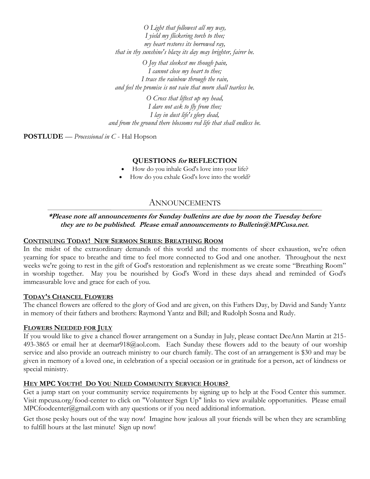*O Light that followest all my way, I yield my flickering torch to thee; my heart restores its borrowed ray, that in thy sunshine's blaze its day may brighter, fairer be.*

*O Joy that sleekest me though pain, I cannot close my heart to thee; I trace the rainbow through the rain, and feel the promise is not vain that morn shall tearless be.*

*O Cross that liftest up my head, I dare not ask to fly from thee; I lay in dust life's glory dead, and from the ground there blossoms red life that shall endless be.*

**POSTLUDE** — *Processional in C* - Hal Hopson

## **QUESTIONS for REFLECTION**

- How do you inhale God's love into your life?
- How do you exhale God's love into the world?

# ANNOUNCEMENTS

## **\*Please note all announcements for Sunday bulletins are due by noon the Tuesday before they are to be published. Please email announcements to Bulletin@MPCusa.net.**

#### **CONTINUING TODAY! NEW SERMON SERIES: BREATHING ROOM**

In the midst of the extraordinary demands of this world and the moments of sheer exhaustion, we're often yearning for space to breathe and time to feel more connected to God and one another. Throughout the next weeks we're going to rest in the gift of God's restoration and replenishment as we create some "Breathing Room" in worship together. May you be nourished by God's Word in these days ahead and reminded of God's immeasurable love and grace for each of you.

#### **TODAY'S CHANCEL FLOWERS**

The chancel flowers are offered to the glory of God and are given, on this Fathers Day, by David and Sandy Yantz in memory of their fathers and brothers: Raymond Yantz and Bill; and Rudolph Sosna and Rudy.

#### **FLOWERS NEEDED FOR JULY**

If you would like to give a chancel flower arrangement on a Sunday in July, please contact DeeAnn Martin at 215- 493-3865 or email her at deemar918@aol.com. Each Sunday these flowers add to the beauty of our worship service and also provide an outreach ministry to our church family. The cost of an arrangement is \$30 and may be given in memory of a loved one, in celebration of a special occasion or in gratitude for a person, act of kindness or special ministry.

## **HEY MPC YOUTH! DO YOU NEED COMMUNITY SERVICE HOURS?**

Get a jump start on your community service requirements by signing up to help at the Food Center this summer. Visit mpcusa.org/food-center to click on "Volunteer Sign Up" links to view available opportunities. Please email MPCfoodcenter@gmail.com with any questions or if you need additional information.

Get those pesky hours out of the way now! Imagine how jealous all your friends will be when they are scrambling to fulfill hours at the last minute! Sign up now!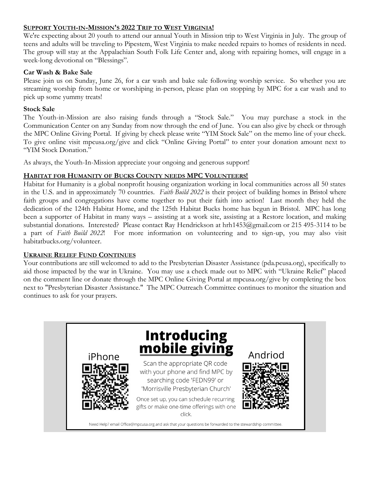## **SUPPORT YOUTH-IN-MISSION'S 2022 TRIP TO WEST VIRGINIA!**

We're expecting about 20 youth to attend our annual Youth in Mission trip to West Virginia in July. The group of teens and adults will be traveling to Pipestem, West Virginia to make needed repairs to homes of residents in need. The group will stay at the Appalachian South Folk Life Center and, along with repairing homes, will engage in a week-long devotional on "Blessings".

## **Car Wash & Bake Sale**

Please join us on Sunday, June 26, for a car wash and bake sale following worship service. So whether you are streaming worship from home or worshiping in-person, please plan on stopping by MPC for a car wash and to pick up some yummy treats!

## **Stock Sale**

The Youth-in-Mission are also raising funds through a "Stock Sale." You may purchase a stock in the Communication Center on any Sunday from now through the end of June. You can also give by check or through the MPC Online Giving Portal. If giving by check please write "YIM Stock Sale" on the memo line of your check. To give online visit mpcusa.org/give and click "Online Giving Portal" to enter your donation amount next to "YIM Stock Donation."

As always, the Youth-In-Mission appreciate your ongoing and generous support!

## **HABITAT FOR HUMANITY OF BUCKS COUNTY NEEDS MPC VOLUNTEERS!**

Habitat for Humanity is a global nonprofit housing organization working in local communities across all 50 states in the U.S. and in approximately 70 countries. *Faith Build 2022* is their project of building homes in Bristol where faith groups and congregations have come together to put their faith into action! Last month they held the dedication of the 124th Habitat Home, and the 125th Habitat Bucks home has begun in Bristol. MPC has long been a supporter of Habitat in many ways – assisting at a work site, assisting at a Restore location, and making substantial donations. Interested? Please contact Ray Hendrickson at hrh1453@gmail.com or 215 495-3114 to be a part of *Faith Build 2022*! For more information on volunteering and to sign-up, you may also visit habitatbucks.org/volunteer.

## **UKRAINE RELIEF FUND CONTINUES**

Your contributions are still welcomed to add to the Presbyterian Disaster Assistance (pda.pcusa.org), specifically to aid those impacted by the war in Ukraine. You may use a check made out to MPC with "Ukraine Relief" placed on the comment line or donate through the MPC Online Giving Portal at mpcusa.org/give by completing the box next to "Presbyterian Disaster Assistance." The MPC Outreach Committee continues to monitor the situation and continues to ask for your prayers.